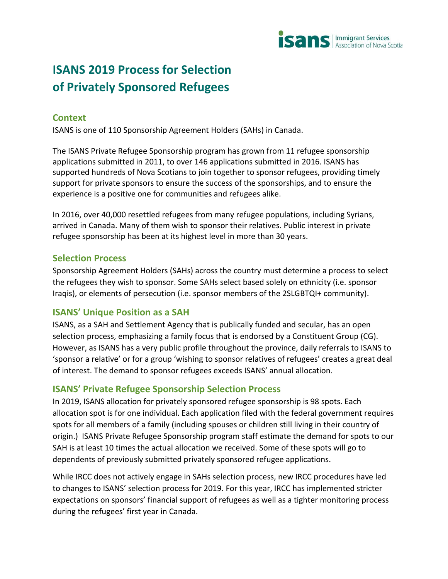

# **ISANS 2019 Process for Selection of Privately Sponsored Refugees**

## **Context**

ISANS is one of 110 Sponsorship Agreement Holders (SAHs) in Canada.

The ISANS Private Refugee Sponsorship program has grown from 11 refugee sponsorship applications submitted in 2011, to over 146 applications submitted in 2016. ISANS has supported hundreds of Nova Scotians to join together to sponsor refugees, providing timely support for private sponsors to ensure the success of the sponsorships, and to ensure the experience is a positive one for communities and refugees alike.

In 2016, over 40,000 resettled refugees from many refugee populations, including Syrians, arrived in Canada. Many of them wish to sponsor their relatives. Public interest in private refugee sponsorship has been at its highest level in more than 30 years.

#### **Selection Process**

Sponsorship Agreement Holders (SAHs) across the country must determine a process to select the refugees they wish to sponsor. Some SAHs select based solely on ethnicity (i.e. sponsor Iraqis), or elements of persecution (i.e. sponsor members of the 2SLGBTQI+ community).

## **ISANS' Unique Position as a SAH**

ISANS, as a SAH and Settlement Agency that is publically funded and secular, has an open selection process, emphasizing a family focus that is endorsed by a Constituent Group (CG). However, as ISANS has a very public profile throughout the province, daily referrals to ISANS to 'sponsor a relative' or for a group 'wishing to sponsor relatives of refugees' creates a great deal of interest. The demand to sponsor refugees exceeds ISANS' annual allocation.

## **ISANS' Private Refugee Sponsorship Selection Process**

In 2019, ISANS allocation for privately sponsored refugee sponsorship is 98 spots. Each allocation spot is for one individual. Each application filed with the federal government requires spots for all members of a family (including spouses or children still living in their country of origin.) ISANS Private Refugee Sponsorship program staff estimate the demand for spots to our SAH is at least 10 times the actual allocation we received. Some of these spots will go to dependents of previously submitted privately sponsored refugee applications.

While IRCC does not actively engage in SAHs selection process, new IRCC procedures have led to changes to ISANS' selection process for 2019. For this year, IRCC has implemented stricter expectations on sponsors' financial support of refugees as well as a tighter monitoring process during the refugees' first year in Canada.